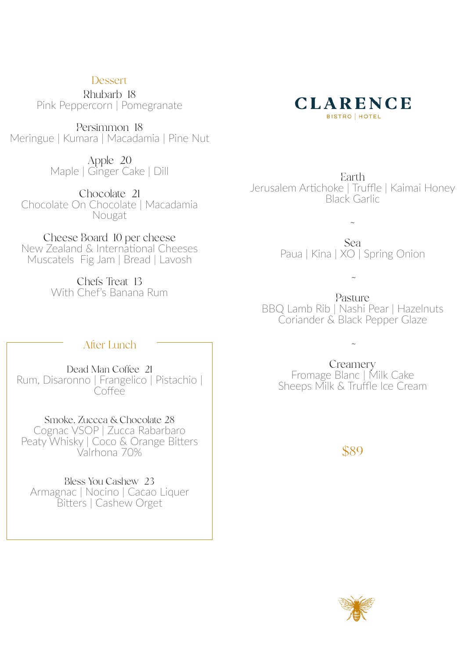### **Dessert**

Rhubarb 18 Pink Peppercorn | Pomegranate

Persimmon 18 Meringue | Kumara | Macadamia | Pine Nut

> Apple 20 Maple | Ginger Cake | Dill

Chocolate 21 Chocolate On Chocolate | Macadamia Nougat

Cheese Board 10 per cheese New Zealand & International Cheeses Muscatels Fig Jam | Bread | Lavosh

> Chefs Treat 13 With Chef's Banana Rum

# **CLARENCE BISTRO** | HOTEL

Earth Jerusalem Artichoke | Truffle | Kaimai Honey Black Garlic

> Sea Paua | Kina | XO | Spring Onion

> > ~

 $\sim$ 

Pasture BBQ Lamb Rib | Nashi Pear | Hazelnuts Coriander & Black Pepper Glaze

## After Lunch

Dead Man Coffee 21 Rum, Disaronno | Frangelico | Pistachio | **Coffee** 

Smoke, Zuccca & Chocolate 28 Cognac VSOP | Zucca Rabarbaro Peaty Whisky | Coco & Orange Bitters Valrhona 70%

Bless You Cashew 23 Armagnac | Nocino | Cacao Liquer Bitters | Cashew Orget

~

Creamery Fromage Blanc | Milk Cake Sheeps Milk & Truffle Ice Cream

\$89